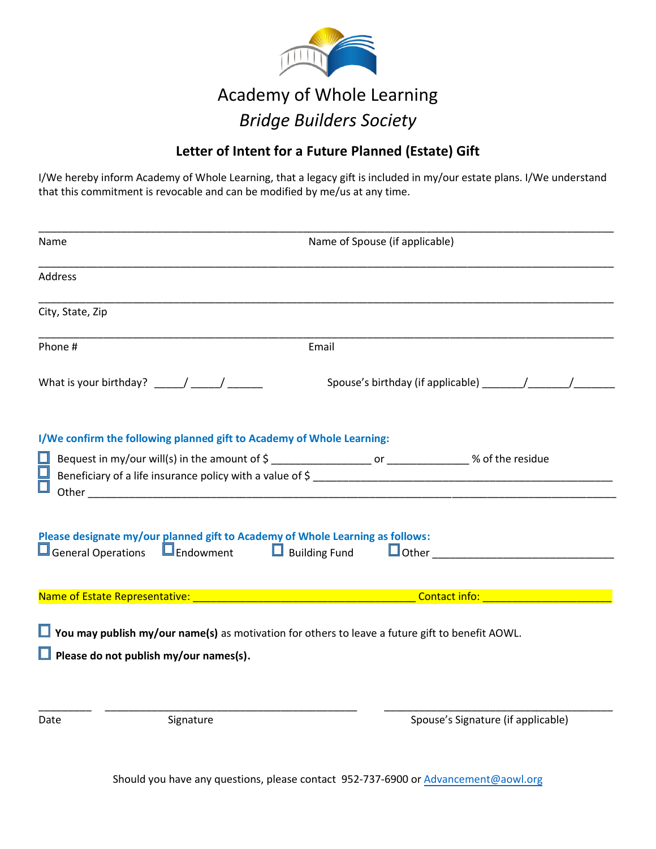

## Academy of Whole Learning *Bridge Builders Society*

## **Letter of Intent for a Future Planned (Estate) Gift**

I/We hereby inform Academy of Whole Learning, that a legacy gift is included in my/our estate plans. I/We understand that this commitment is revocable and can be modified by me/us at any time.

| Name             |                                                                       | Name of Spouse (if applicable)                                                                                                                                    |
|------------------|-----------------------------------------------------------------------|-------------------------------------------------------------------------------------------------------------------------------------------------------------------|
| <b>Address</b>   |                                                                       |                                                                                                                                                                   |
| City, State, Zip |                                                                       |                                                                                                                                                                   |
| Phone #          |                                                                       | Email                                                                                                                                                             |
|                  |                                                                       |                                                                                                                                                                   |
| Ш                | I/We confirm the following planned gift to Academy of Whole Learning: |                                                                                                                                                                   |
|                  |                                                                       | Please designate my/our planned gift to Academy of Whole Learning as follows:<br>□ General Operations □ Endowment □ Building Fund □ Other _______________________ |
|                  |                                                                       | <b>Contact info: Contact info:</b>                                                                                                                                |
|                  | $\Box$ Please do not publish my/our names(s).                         | $\Box$ You may publish my/our name(s) as motivation for others to leave a future gift to benefit AOWL.                                                            |
| Date             | Signature                                                             | Spouse's Signature (if applicable)                                                                                                                                |

Should you have any questions, please contact 952-737-6900 or Advancement@aowl.org